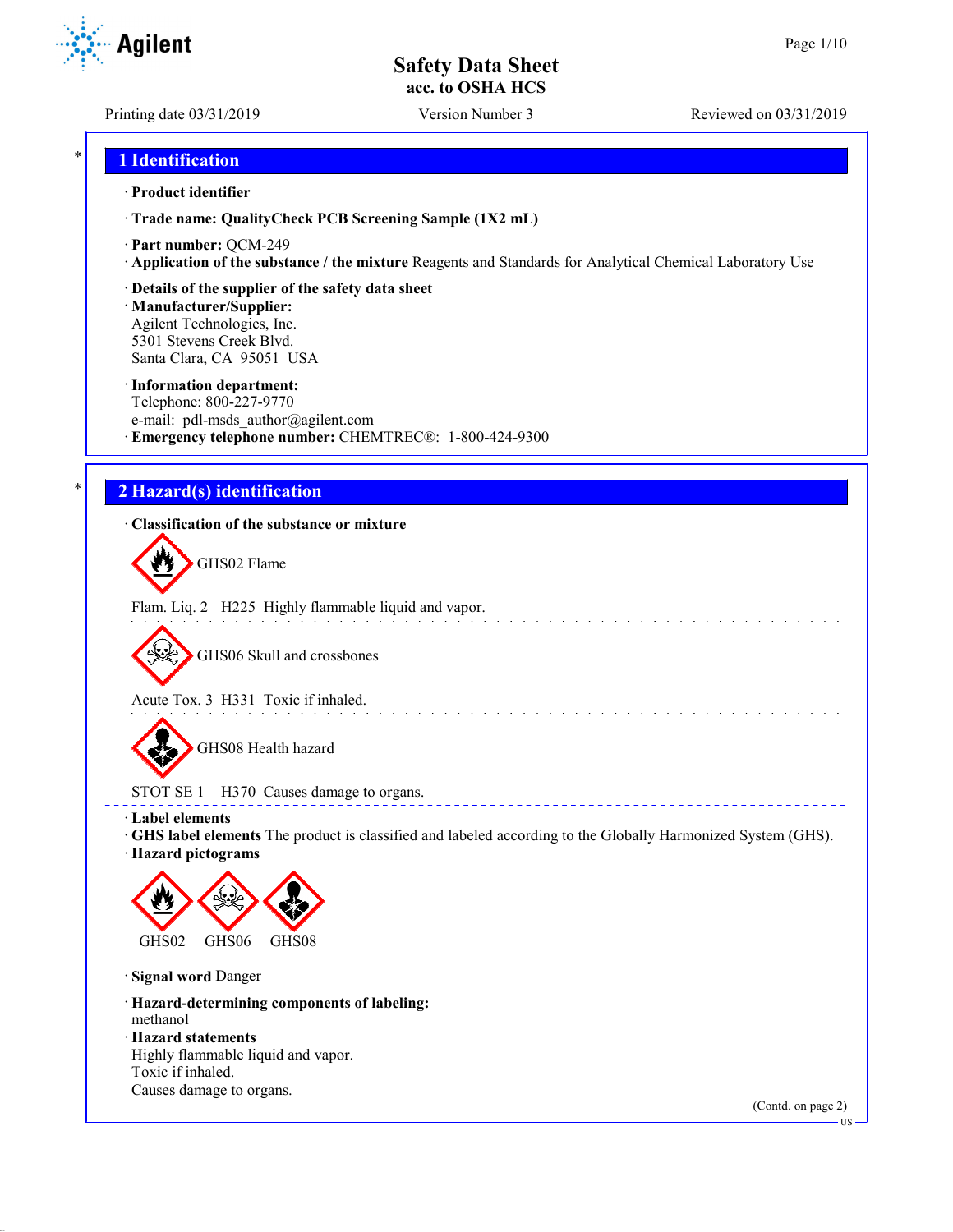Printing date 03/31/2019 Version Number 3 Reviewed on 03/31/2019

### \* **1 Identification**

#### · **Product identifier**

· **Trade name: QualityCheck PCB Screening Sample (1X2 mL)**

- · **Part number:** QCM-249
- · **Application of the substance / the mixture** Reagents and Standards for Analytical Chemical Laboratory Use
- · **Details of the supplier of the safety data sheet**

· **Manufacturer/Supplier:** Agilent Technologies, Inc. 5301 Stevens Creek Blvd. Santa Clara, CA 95051 USA

#### · **Information department:**

Telephone: 800-227-9770 e-mail: pdl-msds author@agilent.com · **Emergency telephone number:** CHEMTREC®: 1-800-424-9300

## \* **2 Hazard(s) identification**

#### · **Classification of the substance or mixture**

GHS02 Flame

Flam. Liq. 2 H225 Highly flammable liquid and vapor.

GHS06 Skull and crossbones

Acute Tox. 3 H331 Toxic if inhaled.

GHS08 Health hazard

STOT SE 1 H370 Causes damage to organs.

· **Label elements**

· **GHS label elements** The product is classified and labeled according to the Globally Harmonized System (GHS).

and the state of the state of the

<u>a a a a a</u>

· **Hazard pictograms**



· **Signal word** Danger

· **Hazard-determining components of labeling:** methanol

· **Hazard statements**

Highly flammable liquid and vapor. Toxic if inhaled. Causes damage to organs.

(Contd. on page 2)



US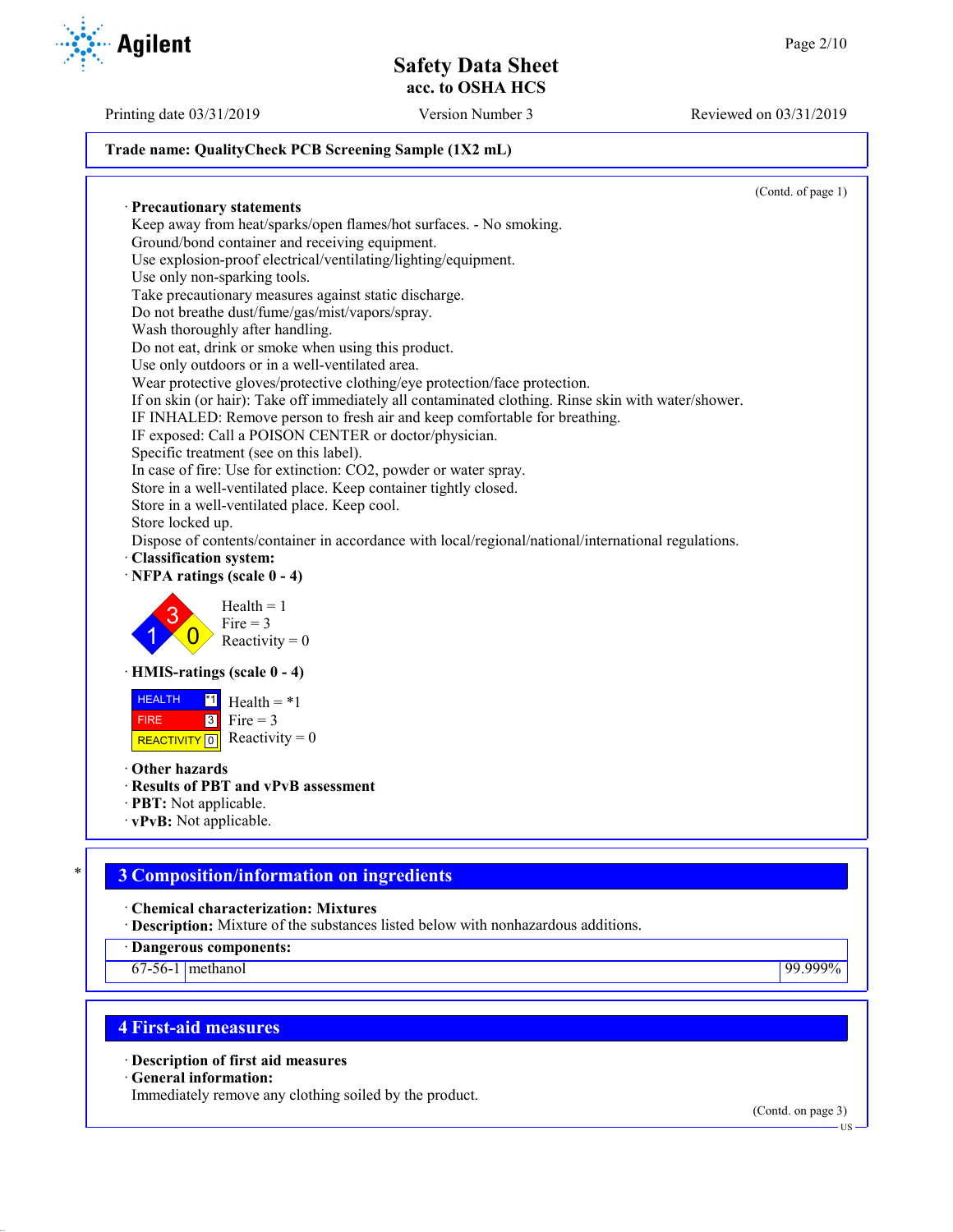### **Trade name: QualityCheck PCB Screening Sample (1X2 mL)**

(Contd. of page 1) · **Precautionary statements** Keep away from heat/sparks/open flames/hot surfaces. - No smoking. Ground/bond container and receiving equipment. Use explosion-proof electrical/ventilating/lighting/equipment. Use only non-sparking tools. Take precautionary measures against static discharge. Do not breathe dust/fume/gas/mist/vapors/spray. Wash thoroughly after handling. Do not eat, drink or smoke when using this product. Use only outdoors or in a well-ventilated area. Wear protective gloves/protective clothing/eye protection/face protection. If on skin (or hair): Take off immediately all contaminated clothing. Rinse skin with water/shower. IF INHALED: Remove person to fresh air and keep comfortable for breathing. IF exposed: Call a POISON CENTER or doctor/physician. Specific treatment (see on this label). In case of fire: Use for extinction: CO2, powder or water spray. Store in a well-ventilated place. Keep container tightly closed. Store in a well-ventilated place. Keep cool. Store locked up. Dispose of contents/container in accordance with local/regional/national/international regulations. · **Classification system:** · **NFPA ratings (scale 0 - 4)** 1 3  $\overline{0}$  $Health = 1$  $Fire = 3$ Reactivity  $= 0$ · **HMIS-ratings (scale 0 - 4) HEALTH**  FIRE REACTIVITY  $\boxed{0}$  Reactivity = 0  $\overline{1}$  Health = \*1  $3$  Fire = 3 · **Other hazards** · **Results of PBT and vPvB assessment** · **PBT:** Not applicable. · **vPvB:** Not applicable.

# \* **3 Composition/information on ingredients**

· **Chemical characterization: Mixtures**

· **Description:** Mixture of the substances listed below with nonhazardous additions.

· **Dangerous components:**

67-56-1 methanol 99.999%

# **4 First-aid measures**

· **Description of first aid measures**

· **General information:**

Immediately remove any clothing soiled by the product.

(Contd. on page 3)



Printing date 03/31/2019 Version Number 3 Reviewed on 03/31/2019

US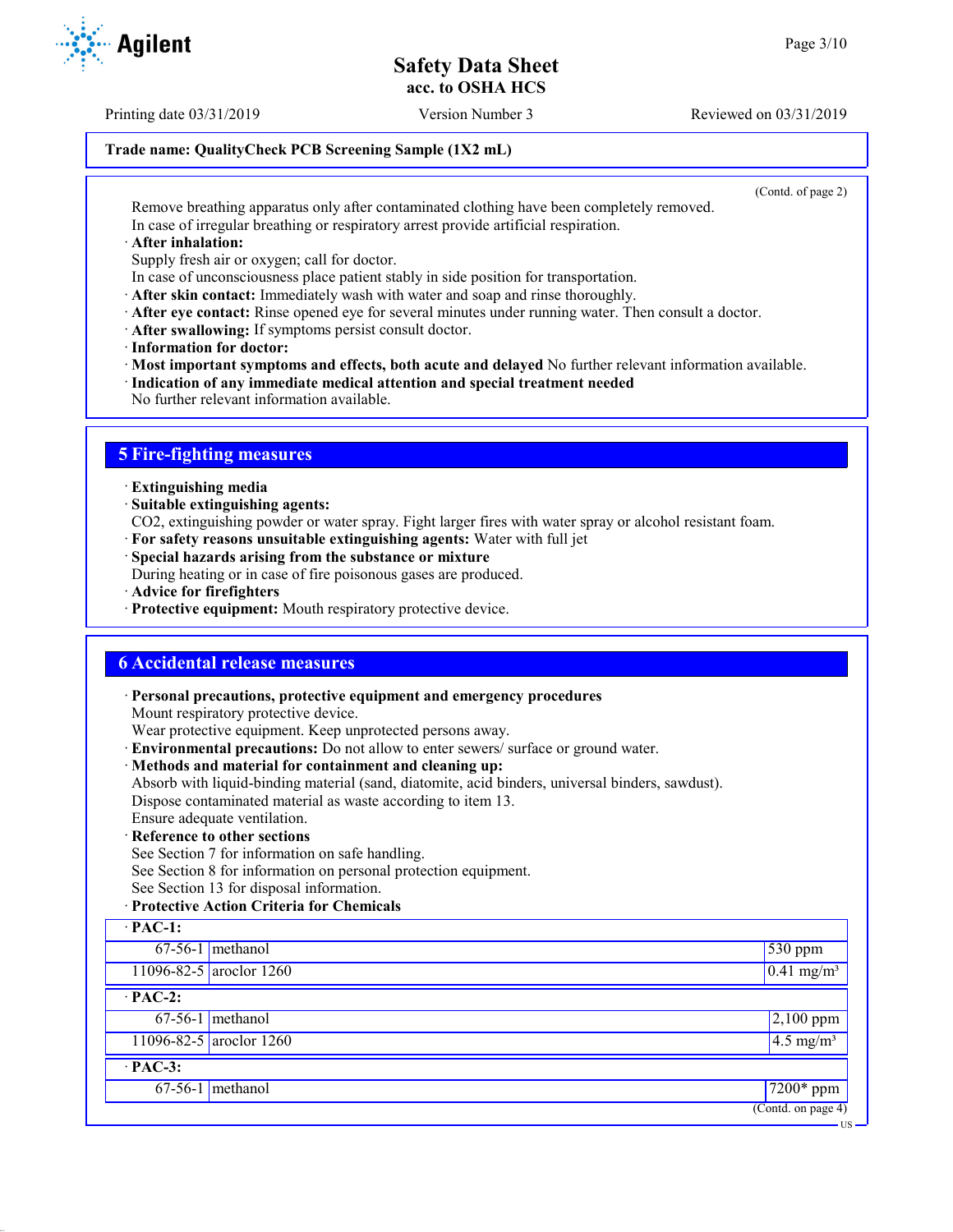## **Trade name: QualityCheck PCB Screening Sample (1X2 mL)**

(Contd. of page 2)

Remove breathing apparatus only after contaminated clothing have been completely removed. In case of irregular breathing or respiratory arrest provide artificial respiration.

· **After inhalation:**

Supply fresh air or oxygen; call for doctor.

- In case of unconsciousness place patient stably in side position for transportation.
- · **After skin contact:** Immediately wash with water and soap and rinse thoroughly.
- · **After eye contact:** Rinse opened eye for several minutes under running water. Then consult a doctor.
- · **After swallowing:** If symptoms persist consult doctor.
- · **Information for doctor:**

· **Most important symptoms and effects, both acute and delayed** No further relevant information available.

- · **Indication of any immediate medical attention and special treatment needed**
- No further relevant information available.

## **5 Fire-fighting measures**

- · **Extinguishing media**
- · **Suitable extinguishing agents:**
- CO2, extinguishing powder or water spray. Fight larger fires with water spray or alcohol resistant foam.
- · **For safety reasons unsuitable extinguishing agents:** Water with full jet
- · **Special hazards arising from the substance or mixture**

During heating or in case of fire poisonous gases are produced.

- · **Advice for firefighters**
- · **Protective equipment:** Mouth respiratory protective device.

## **6 Accidental release measures**

· **Personal precautions, protective equipment and emergency procedures**

Mount respiratory protective device.

Wear protective equipment. Keep unprotected persons away.

- · **Environmental precautions:** Do not allow to enter sewers/ surface or ground water.
- · **Methods and material for containment and cleaning up:**

Absorb with liquid-binding material (sand, diatomite, acid binders, universal binders, sawdust). Dispose contaminated material as waste according to item 13.

- Ensure adequate ventilation.
- · **Reference to other sections**

See Section 7 for information on safe handling.

See Section 8 for information on personal protection equipment.

See Section 13 for disposal information.

#### · **Protective Action Criteria for Chemicals**

| $\cdot$ PAC-1: |                         |                                 |
|----------------|-------------------------|---------------------------------|
|                | $67-56-1$ methanol      | 530 ppm                         |
|                | 11096-82-5 aroclor 1260 | $\sqrt{0.41}$ mg/m <sup>3</sup> |
| $\cdot$ PAC-2: |                         |                                 |
|                | $67-56-1$ methanol      | $2,100$ ppm                     |
|                | 11096-82-5 aroclor 1260 | $\sqrt{4.5 \text{ mg/m}^3}$     |
| $\cdot$ PAC-3: |                         |                                 |
|                | $67-56-1$ methanol      | $7200*$ ppm                     |
|                |                         | (Contd. on page 4)              |
|                |                         | - US                            |



Printing date 03/31/2019 Version Number 3 Reviewed on 03/31/2019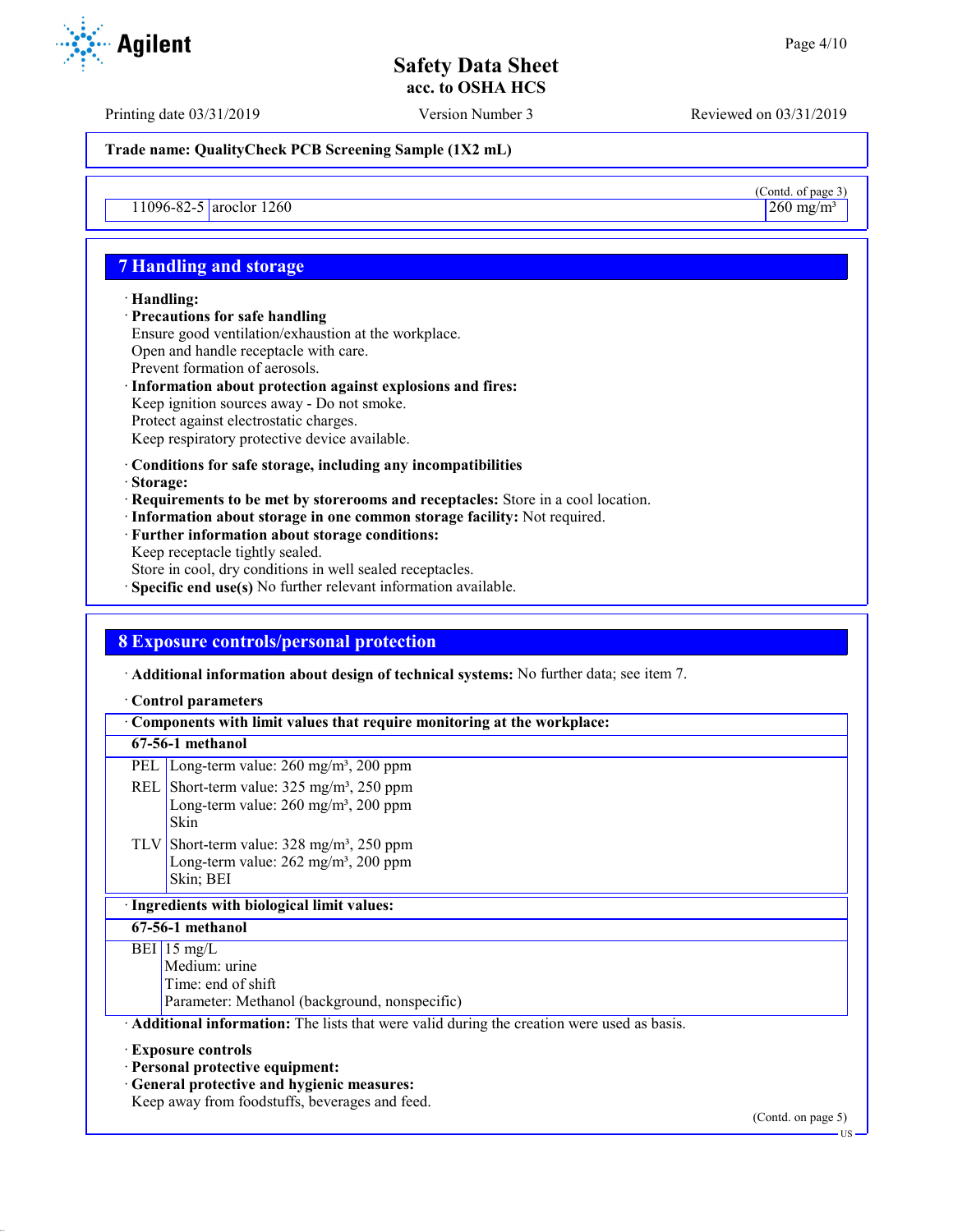(Contd. of page 3)

**Safety Data Sheet acc. to OSHA HCS**

Printing date 03/31/2019 Version Number 3 Reviewed on 03/31/2019

**Trade name: QualityCheck PCB Screening Sample (1X2 mL)**

 $11096-82-5$  aroclor 1260 260 mg/m<sup>3</sup> 260 mg/m<sup>3</sup>

## **7 Handling and storage**

#### · **Handling:**

· **Precautions for safe handling** Ensure good ventilation/exhaustion at the workplace. Open and handle receptacle with care. Prevent formation of aerosols. · **Information about protection against explosions and fires:**

- Keep ignition sources away Do not smoke. Protect against electrostatic charges. Keep respiratory protective device available.
- · **Conditions for safe storage, including any incompatibilities**
- · **Storage:**
- · **Requirements to be met by storerooms and receptacles:** Store in a cool location.
- · **Information about storage in one common storage facility:** Not required.
- · **Further information about storage conditions:** Keep receptacle tightly sealed.
- Store in cool, dry conditions in well sealed receptacles.
- · **Specific end use(s)** No further relevant information available.

## **8 Exposure controls/personal protection**

· **Additional information about design of technical systems:** No further data; see item 7.

#### · **Control parameters**

| Components with limit values that require monitoring at the workplace:                    |                                                                                                                                                                                       |  |  |
|-------------------------------------------------------------------------------------------|---------------------------------------------------------------------------------------------------------------------------------------------------------------------------------------|--|--|
|                                                                                           | 67-56-1 methanol                                                                                                                                                                      |  |  |
|                                                                                           | PEL   Long-term value: $260 \text{ mg/m}^3$ , $200 \text{ ppm}$                                                                                                                       |  |  |
|                                                                                           | REL Short-term value: $325 \text{ mg/m}^3$ , $250 \text{ ppm}$<br>Long-term value: $260 \text{ mg/m}^3$ , $200 \text{ ppm}$<br>Skin                                                   |  |  |
|                                                                                           | TLV Short-term value: $328 \text{ mg/m}^3$ , $250 \text{ ppm}$<br>Long-term value: 262 mg/m <sup>3</sup> , 200 ppm<br>Skin; BEI                                                       |  |  |
| · Ingredients with biological limit values:                                               |                                                                                                                                                                                       |  |  |
| 67-56-1 methanol                                                                          |                                                                                                                                                                                       |  |  |
|                                                                                           | $BEI$ 15 mg/L<br>Medium: urine<br>Time: end of shift<br>Parameter: Methanol (background, nonspecific)                                                                                 |  |  |
| Additional information: The lists that were valid during the creation were used as basis. |                                                                                                                                                                                       |  |  |
|                                                                                           | <b>Exposure controls</b><br>· Personal protective equipment:<br>· General protective and hygienic measures:<br>Keep away from foodstuffs, beverages and feed.<br>$(0.44 \cdot 0.000)$ |  |  |



(Contd. on page 5)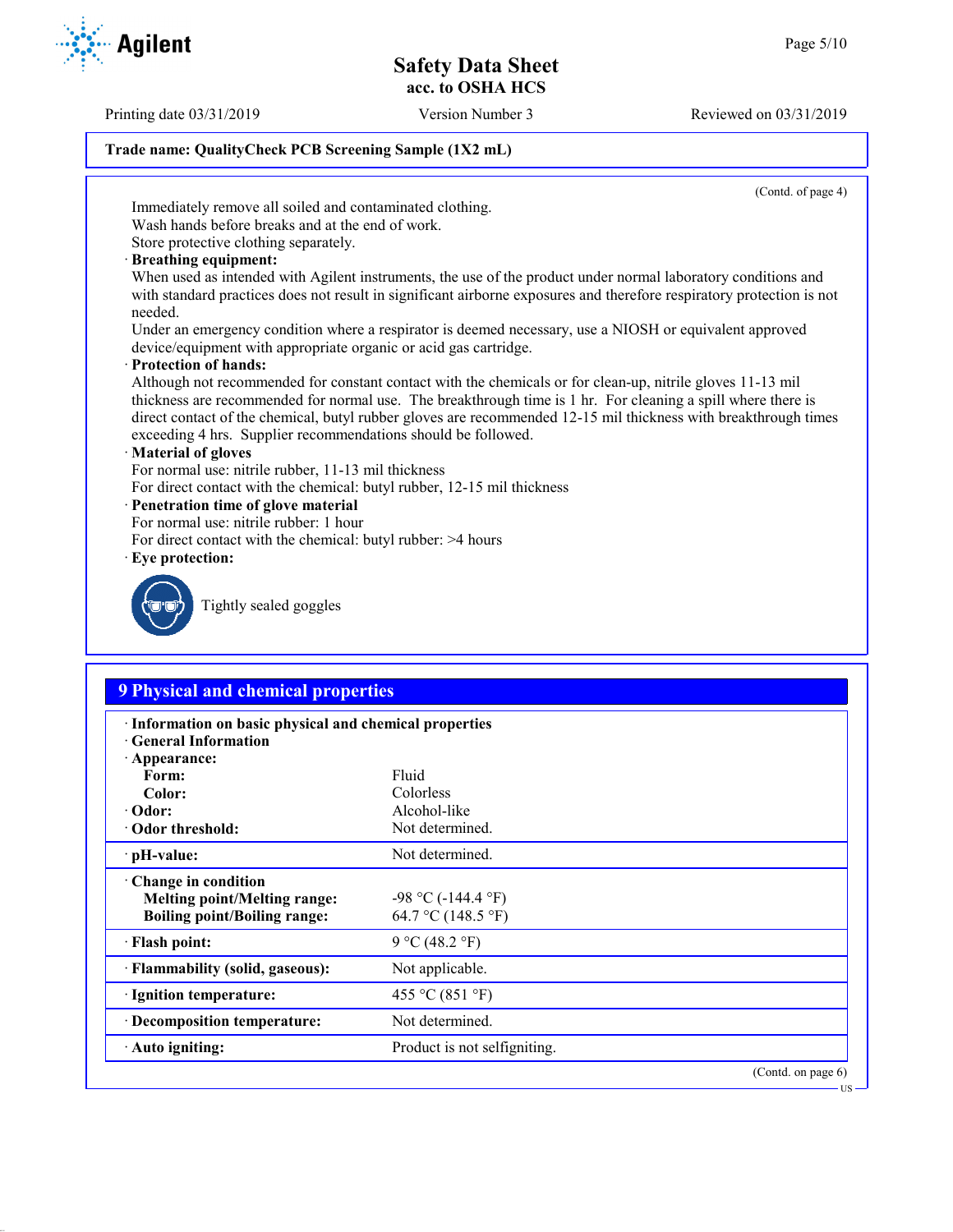Printing date 03/31/2019 Version Number 3 Reviewed on 03/31/2019

### **Trade name: QualityCheck PCB Screening Sample (1X2 mL)**

(Contd. of page 4)

Immediately remove all soiled and contaminated clothing.

Wash hands before breaks and at the end of work. Store protective clothing separately.

· **Breathing equipment:**

When used as intended with Agilent instruments, the use of the product under normal laboratory conditions and with standard practices does not result in significant airborne exposures and therefore respiratory protection is not needed.

Under an emergency condition where a respirator is deemed necessary, use a NIOSH or equivalent approved device/equipment with appropriate organic or acid gas cartridge.

· **Protection of hands:**

Although not recommended for constant contact with the chemicals or for clean-up, nitrile gloves 11-13 mil thickness are recommended for normal use. The breakthrough time is 1 hr. For cleaning a spill where there is direct contact of the chemical, butyl rubber gloves are recommended 12-15 mil thickness with breakthrough times exceeding 4 hrs. Supplier recommendations should be followed.

#### · **Material of gloves**

For normal use: nitrile rubber, 11-13 mil thickness

For direct contact with the chemical: butyl rubber, 12-15 mil thickness

#### · **Penetration time of glove material**

- For normal use: nitrile rubber: 1 hour
- For direct contact with the chemical: butyl rubber: >4 hours
- · **Eye protection:**



Tightly sealed goggles

## **9 Physical and chemical properties**

| · Information on basic physical and chemical properties<br><b>Ceneral Information</b> |                              |                       |  |
|---------------------------------------------------------------------------------------|------------------------------|-----------------------|--|
| $\cdot$ Appearance:                                                                   |                              |                       |  |
| Form:                                                                                 | Fluid                        |                       |  |
| Color:                                                                                | Colorless                    |                       |  |
| $\cdot$ Odor:                                                                         | Alcohol-like                 |                       |  |
| Odor threshold:                                                                       | Not determined.              |                       |  |
| $\cdot$ pH-value:                                                                     | Not determined.              |                       |  |
| Change in condition                                                                   |                              |                       |  |
| <b>Melting point/Melting range:</b>                                                   | $-98$ °C ( $-144.4$ °F)      |                       |  |
| <b>Boiling point/Boiling range:</b>                                                   | 64.7 °C (148.5 °F)           |                       |  |
| · Flash point:                                                                        | 9 °C (48.2 °F)               |                       |  |
| · Flammability (solid, gaseous):                                                      | Not applicable.              |                       |  |
| · Ignition temperature:                                                               | 455 °C (851 °F)              |                       |  |
| · Decomposition temperature:                                                          | Not determined.              |                       |  |
| $\cdot$ Auto igniting:                                                                | Product is not selfigniting. |                       |  |
|                                                                                       |                              | (Contd. on page $6$ ) |  |



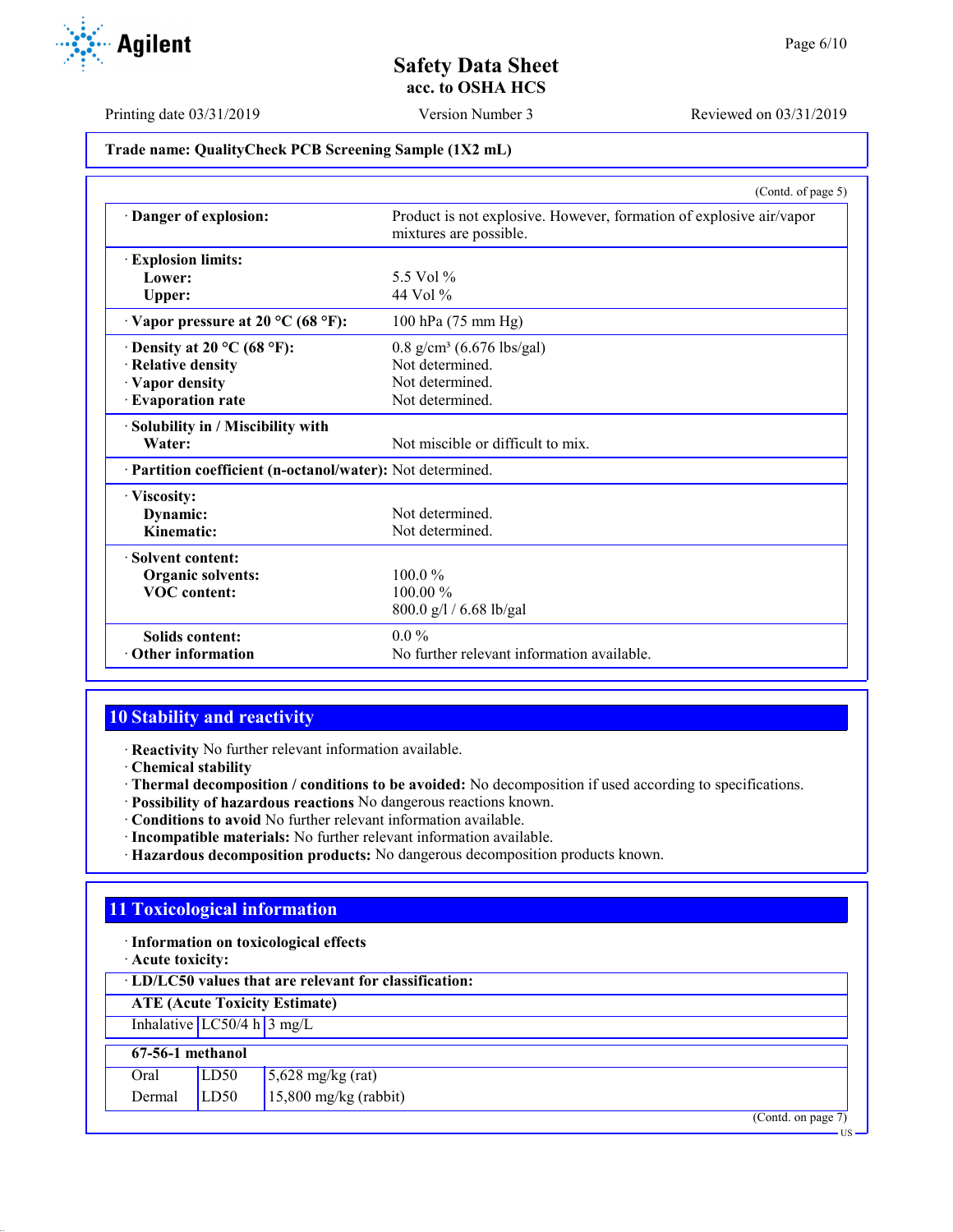

Printing date 03/31/2019 Version Number 3 Reviewed on 03/31/2019

#### **Trade name: QualityCheck PCB Screening Sample (1X2 mL)**

|                                                            | (Contd. of page 5)                                                                            |
|------------------------------------------------------------|-----------------------------------------------------------------------------------------------|
| Danger of explosion:                                       | Product is not explosive. However, formation of explosive air/vapor<br>mixtures are possible. |
| <b>Explosion limits:</b>                                   |                                                                                               |
| Lower:                                                     | 5.5 Vol $\%$                                                                                  |
| Upper:                                                     | 44 Vol $\%$                                                                                   |
| $\cdot$ Vapor pressure at 20 °C (68 °F):                   | 100 hPa (75 mm Hg)                                                                            |
| $\cdot$ Density at 20 °C (68 °F):                          | $0.8$ g/cm <sup>3</sup> (6.676 lbs/gal)                                                       |
| · Relative density                                         | Not determined.                                                                               |
| · Vapor density                                            | Not determined.                                                                               |
| · Evaporation rate                                         | Not determined.                                                                               |
| · Solubility in / Miscibility with                         |                                                                                               |
| Water:                                                     | Not miscible or difficult to mix.                                                             |
| · Partition coefficient (n-octanol/water): Not determined. |                                                                                               |
| · Viscosity:                                               |                                                                                               |
| Dynamic:                                                   | Not determined.                                                                               |
| Kinematic:                                                 | Not determined.                                                                               |
| · Solvent content:                                         |                                                                                               |
| Organic solvents:                                          | $100.0\%$                                                                                     |
| <b>VOC</b> content:                                        | $100.00\%$                                                                                    |
|                                                            | 800.0 g/l / 6.68 lb/gal                                                                       |
| <b>Solids content:</b>                                     | $0.0\%$                                                                                       |
| $\cdot$ Other information                                  | No further relevant information available.                                                    |

## **10 Stability and reactivity**

· **Reactivity** No further relevant information available.

- · **Chemical stability**
- · **Thermal decomposition / conditions to be avoided:** No decomposition if used according to specifications.
- · **Possibility of hazardous reactions** No dangerous reactions known.
- · **Conditions to avoid** No further relevant information available.
- · **Incompatible materials:** No further relevant information available.
- · **Hazardous decomposition products:** No dangerous decomposition products known.

## **11 Toxicological information**

- · **Information on toxicological effects**
- · **Acute toxicity:**

· **LD/LC50 values that are relevant for classification:**

**ATE (Acute Toxicity Estimate)**

Inhalative  $LC50/4$  h  $3$  mg/L

#### **67-56-1 methanol** Oral  $\overline{L}$  LD50 5,628 mg/kg (rat)

| via    | 1 LD JV | $\frac{1}{2}$ ,020 mg/kg (iai) |
|--------|---------|--------------------------------|
| Dermal | LD50    | $15,800$ mg/kg (rabbit)        |

(Contd. on page 7)

US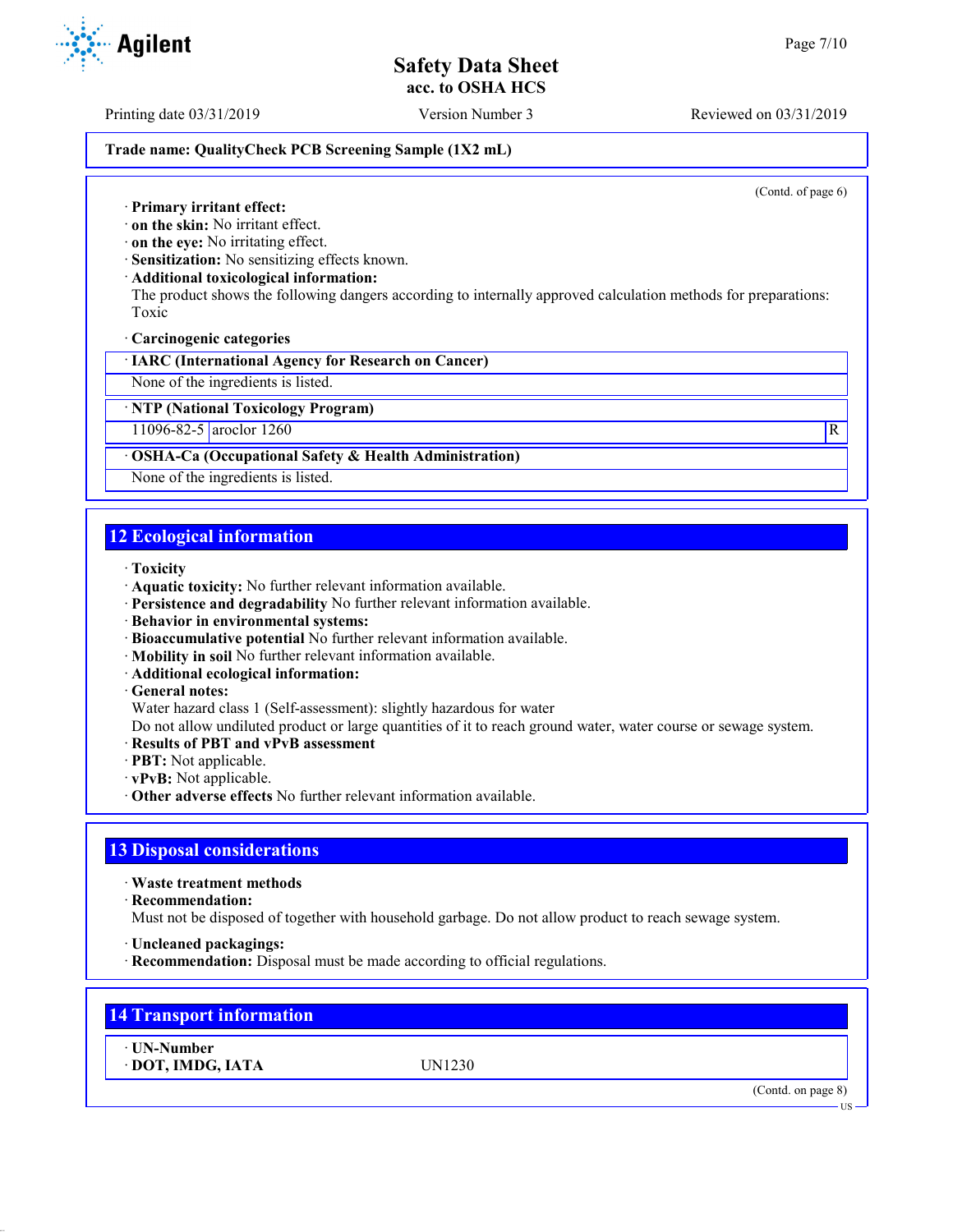Printing date 03/31/2019 Version Number 3 Reviewed on 03/31/2019

#### **Trade name: QualityCheck PCB Screening Sample (1X2 mL)**

(Contd. of page 6)

- · **Primary irritant effect:**
- · **on the skin:** No irritant effect.
- · **on the eye:** No irritating effect.
- · **Sensitization:** No sensitizing effects known.
- · **Additional toxicological information:**

The product shows the following dangers according to internally approved calculation methods for preparations: Toxic

· **Carcinogenic categories**

· **IARC (International Agency for Research on Cancer)**

None of the ingredients is listed.

· **NTP (National Toxicology Program)**

11096-82-5 aroclor 1260 R

#### · **OSHA-Ca (Occupational Safety & Health Administration)**

None of the ingredients is listed.

## **12 Ecological information**

- · **Toxicity**
- · **Aquatic toxicity:** No further relevant information available.
- · **Persistence and degradability** No further relevant information available.
- · **Behavior in environmental systems:**
- · **Bioaccumulative potential** No further relevant information available.
- · **Mobility in soil** No further relevant information available.
- · **Additional ecological information:**
- · **General notes:**
- Water hazard class 1 (Self-assessment): slightly hazardous for water

Do not allow undiluted product or large quantities of it to reach ground water, water course or sewage system.

- · **Results of PBT and vPvB assessment**
- · **PBT:** Not applicable.
- · **vPvB:** Not applicable.
- · **Other adverse effects** No further relevant information available.

## **13 Disposal considerations**

· **Waste treatment methods**

· **Recommendation:**

Must not be disposed of together with household garbage. Do not allow product to reach sewage system.

- · **Uncleaned packagings:**
- · **Recommendation:** Disposal must be made according to official regulations.

## **14 Transport information**

· **UN-Number** · **DOT, IMDG, IATA** UN1230

(Contd. on page 8)



US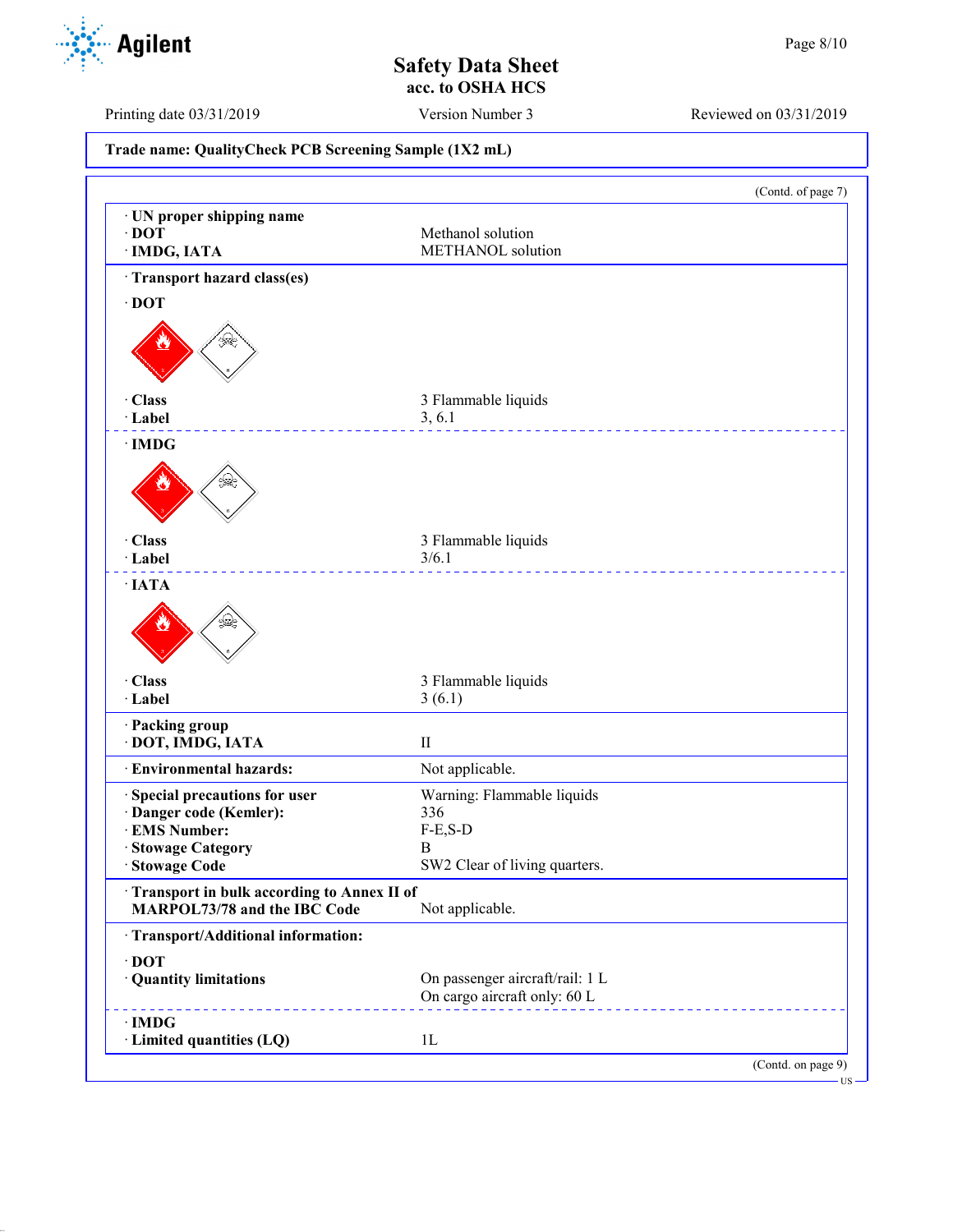

Printing date 03/31/2019 Version Number 3 Reviewed on 03/31/2019

**Trade name: QualityCheck PCB Screening Sample (1X2 mL)** (Contd. of page 7) · **UN proper shipping name** · **DOT** Methanol solution · **IMDG, IATA** METHANOL solution · **Transport hazard class(es)** · **DOT** · **Class** 3 Flammable liquids · **Label** 3, 6.1 \_\_\_\_\_\_\_\_\_\_\_\_\_\_\_\_\_ · **IMDG** · **Class** 3 Flammable liquids · **Label** 3/6.1 \_\_\_\_\_\_\_\_\_\_\_\_\_ · **IATA** · **Class** 3 Flammable liquids · **Label** 3 (6.1) · **Packing group** · **DOT, IMDG, IATA** II · **Environmental hazards:** Not applicable. · **Special precautions for user** Warning: Flammable liquids · **Danger code (Kemler):** 336  $\cdot$  **EMS Number:** · **Stowage Category** B SW2 Clear of living quarters. · **Transport in bulk according to Annex II of MARPOL73/78 and the IBC Code** Not applicable. · **Transport/Additional information:** · **DOT** · **Quantity limitations** On passenger aircraft/rail: 1 L On cargo aircraft only: 60 L · **IMDG** · **Limited quantities (LQ)** 1L (Contd. on page 9)

US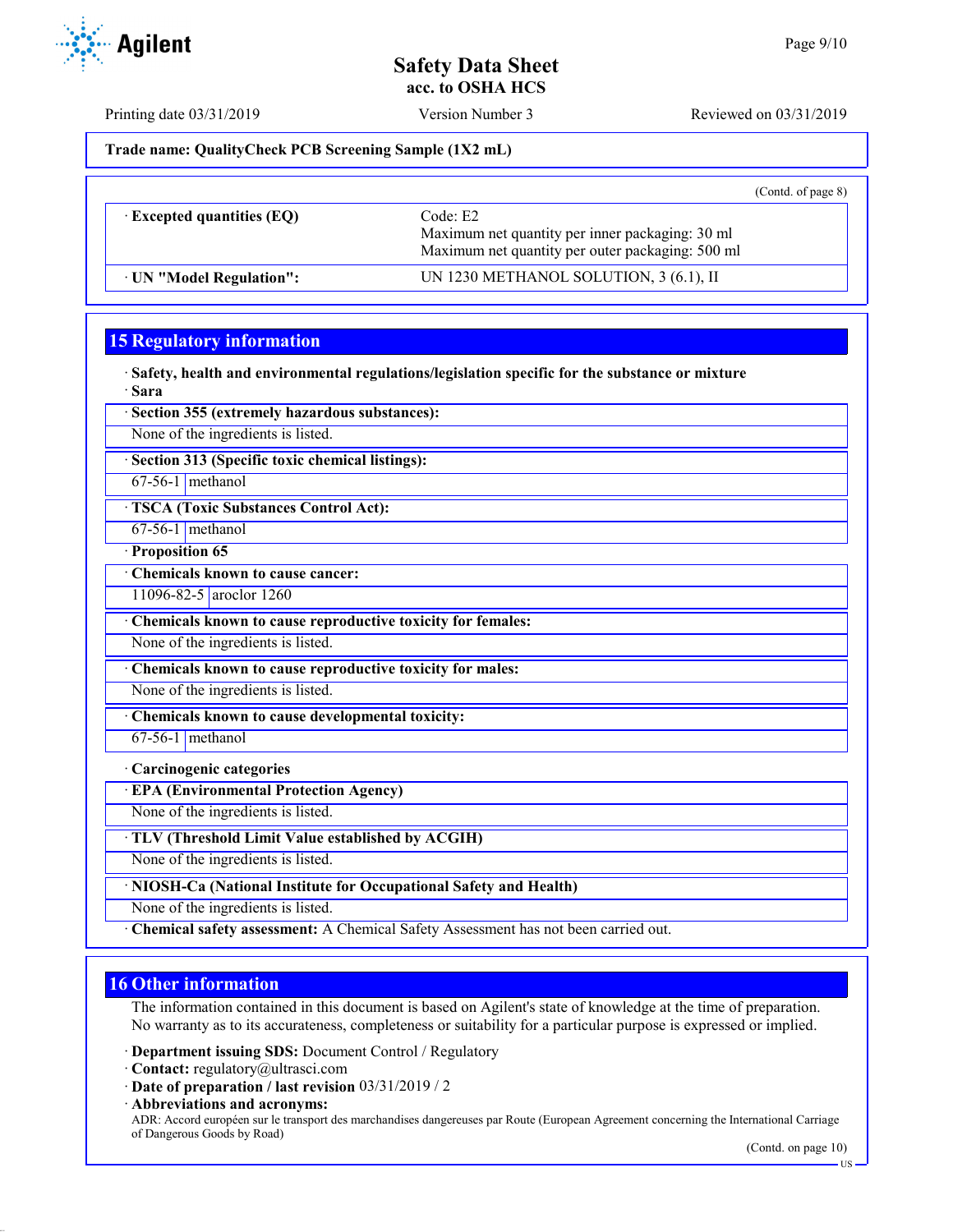Printing date 03/31/2019 Version Number 3 Reviewed on 03/31/2019

**Trade name: QualityCheck PCB Screening Sample (1X2 mL)**

|                                  |                                                                                                                 | (Cond. of page 8) |
|----------------------------------|-----------------------------------------------------------------------------------------------------------------|-------------------|
| $\cdot$ Excepted quantities (EQ) | Code: E2<br>Maximum net quantity per inner packaging: 30 ml<br>Maximum net quantity per outer packaging: 500 ml |                   |
| · UN "Model Regulation":         | UN 1230 METHANOL SOLUTION, 3 (6.1), II                                                                          |                   |

## **15 Regulatory information**

· **Safety, health and environmental regulations/legislation specific for the substance or mixture** · **Sara**

· **Section 355 (extremely hazardous substances):**

None of the ingredients is listed.

· **Section 313 (Specific toxic chemical listings):**

67-56-1 methanol

· **TSCA (Toxic Substances Control Act):**

67-56-1 methanol

· **Proposition 65** · **Chemicals known to cause cancer:**

11096-82-5 aroclor 1260

· **Chemicals known to cause reproductive toxicity for females:**

None of the ingredients is listed.

· **Chemicals known to cause reproductive toxicity for males:**

None of the ingredients is listed.

· **Chemicals known to cause developmental toxicity:**

 $67-56-1$  methanol

#### · **Carcinogenic categories**

· **EPA (Environmental Protection Agency)**

None of the ingredients is listed.

· **TLV (Threshold Limit Value established by ACGIH)**

None of the ingredients is listed.

· **NIOSH-Ca (National Institute for Occupational Safety and Health)**

None of the ingredients is listed.

· **Chemical safety assessment:** A Chemical Safety Assessment has not been carried out.

## **16 Other information**

The information contained in this document is based on Agilent's state of knowledge at the time of preparation. No warranty as to its accurateness, completeness or suitability for a particular purpose is expressed or implied.

· **Department issuing SDS:** Document Control / Regulatory

- · **Contact:** regulatory@ultrasci.com
- · **Date of preparation / last revision** 03/31/2019 / 2

· **Abbreviations and acronyms:** ADR: Accord européen sur le transport des marchandises dangereuses par Route (European Agreement concerning the International Carriage of Dangerous Goods by Road)